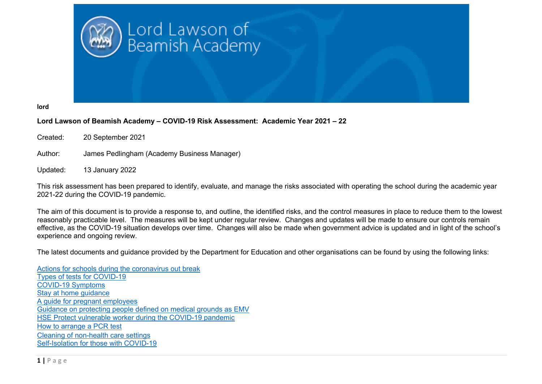

**lord**

## **Lord Lawson of Beamish Academy – COVID-19 Risk Assessment: Academic Year 2021 – 22**

Created: 20 September 2021

Author: James Pedlingham (Academy Business Manager)

Updated: 13 January 2022

This risk assessment has been prepared to identify, evaluate, and manage the risks associated with operating the school during the academic year 2021-22 during the COVID-19 pandemic.

The aim of this document is to provide a response to, and outline, the identified risks, and the control measures in place to reduce them to the lowest reasonably practicable level. The measures will be kept under regular review. Changes and updates will be made to ensure our controls remain effective, as the COVID-19 situation develops over time. Changes will also be made when government advice is updated and in light of the school's experience and ongoing review.

The latest documents and guidance provided by the Department for Education and other organisations can be found by using the following links:

Actions for schools during the coronavirus out break Types of tests for COVID-19 COVID-19 Symptoms Stay at home guidance A guide for pregnant employees Guidance on protecting people defined on medical grounds as EMV HSE Protect vulnerable worker during the COVID-19 pandemic How to arrange a PCR test Cleaning of non-health care settings Self-Isolation for those with COVID-19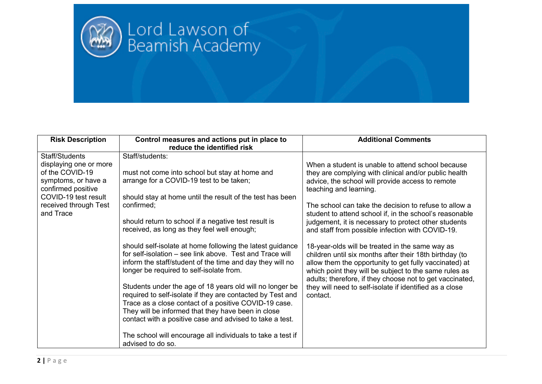

| <b>Risk Description</b>                                                                                                                                                | Control measures and actions put in place to<br>reduce the identified risk                                                                                                                                                                                                                                                                                                                                                                                                                                                        | <b>Additional Comments</b>                                                                                                                                                                                                                                                                                                                                                                                                                                                                                                                                                                                                                                |
|------------------------------------------------------------------------------------------------------------------------------------------------------------------------|-----------------------------------------------------------------------------------------------------------------------------------------------------------------------------------------------------------------------------------------------------------------------------------------------------------------------------------------------------------------------------------------------------------------------------------------------------------------------------------------------------------------------------------|-----------------------------------------------------------------------------------------------------------------------------------------------------------------------------------------------------------------------------------------------------------------------------------------------------------------------------------------------------------------------------------------------------------------------------------------------------------------------------------------------------------------------------------------------------------------------------------------------------------------------------------------------------------|
| Staff/Students<br>displaying one or more<br>of the COVID-19<br>symptoms, or have a<br>confirmed positive<br>COVID-19 test result<br>received through Test<br>and Trace | Staff/students:<br>must not come into school but stay at home and<br>arrange for a COVID-19 test to be taken;<br>should stay at home until the result of the test has been<br>confirmed;<br>should return to school if a negative test result is<br>received, as long as they feel well enough;<br>should self-isolate at home following the latest guidance<br>for self-isolation – see link above. Test and Trace will<br>inform the staff/student of the time and day they will no<br>longer be required to self-isolate from. | When a student is unable to attend school because<br>they are complying with clinical and/or public health<br>advice, the school will provide access to remote<br>teaching and learning.<br>The school can take the decision to refuse to allow a<br>student to attend school if, in the school's reasonable<br>judgement, it is necessary to protect other students<br>and staff from possible infection with COVID-19.<br>18-year-olds will be treated in the same way as<br>children until six months after their 18th birthday (to<br>allow them the opportunity to get fully vaccinated) at<br>which point they will be subject to the same rules as |
|                                                                                                                                                                        | Students under the age of 18 years old will no longer be<br>required to self-isolate if they are contacted by Test and<br>Trace as a close contact of a positive COVID-19 case.<br>They will be informed that they have been in close<br>contact with a positive case and advised to take a test.<br>The school will encourage all individuals to take a test if<br>advised to do so.                                                                                                                                             | adults; therefore, if they choose not to get vaccinated,<br>they will need to self-isolate if identified as a close<br>contact.                                                                                                                                                                                                                                                                                                                                                                                                                                                                                                                           |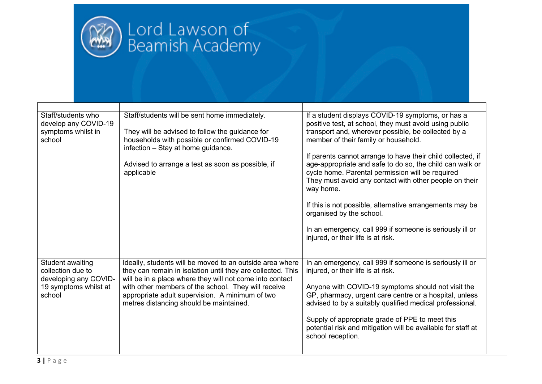

| Staff/students who<br>develop any COVID-19<br>symptoms whilst in<br>school | Staff/students will be sent home immediately.<br>They will be advised to follow the guidance for<br>households with possible or confirmed COVID-19                                  | If a student displays COVID-19 symptoms, or has a<br>positive test, at school, they must avoid using public<br>transport and, wherever possible, be collected by a<br>member of their family or household. |
|----------------------------------------------------------------------------|-------------------------------------------------------------------------------------------------------------------------------------------------------------------------------------|------------------------------------------------------------------------------------------------------------------------------------------------------------------------------------------------------------|
|                                                                            | infection - Stay at home guidance.                                                                                                                                                  |                                                                                                                                                                                                            |
|                                                                            | Advised to arrange a test as soon as possible, if                                                                                                                                   | If parents cannot arrange to have their child collected, if<br>age-appropriate and safe to do so, the child can walk or                                                                                    |
|                                                                            | applicable                                                                                                                                                                          | cycle home. Parental permission will be required<br>They must avoid any contact with other people on their<br>way home.                                                                                    |
|                                                                            |                                                                                                                                                                                     | If this is not possible, alternative arrangements may be<br>organised by the school.                                                                                                                       |
|                                                                            |                                                                                                                                                                                     | In an emergency, call 999 if someone is seriously ill or<br>injured, or their life is at risk.                                                                                                             |
| Student awaiting<br>collection due to<br>developing any COVID-             | Ideally, students will be moved to an outside area where<br>they can remain in isolation until they are collected. This<br>will be in a place where they will not come into contact | In an emergency, call 999 if someone is seriously ill or<br>injured, or their life is at risk.                                                                                                             |
| 19 symptoms whilst at<br>school                                            | with other members of the school. They will receive<br>appropriate adult supervision. A minimum of two<br>metres distancing should be maintained.                                   | Anyone with COVID-19 symptoms should not visit the<br>GP, pharmacy, urgent care centre or a hospital, unless<br>advised to by a suitably qualified medical professional.                                   |
|                                                                            |                                                                                                                                                                                     | Supply of appropriate grade of PPE to meet this<br>potential risk and mitigation will be available for staff at<br>school reception.                                                                       |
|                                                                            |                                                                                                                                                                                     |                                                                                                                                                                                                            |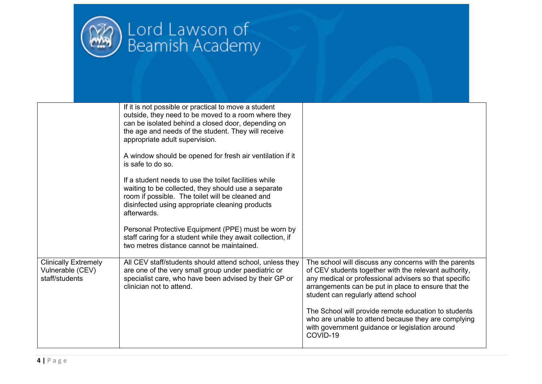

|                                                                   | If it is not possible or practical to move a student<br>outside, they need to be moved to a room where they<br>can be isolated behind a closed door, depending on<br>the age and needs of the student. They will receive<br>appropriate adult supervision. |                                                                                                                                                                                                                                                                       |
|-------------------------------------------------------------------|------------------------------------------------------------------------------------------------------------------------------------------------------------------------------------------------------------------------------------------------------------|-----------------------------------------------------------------------------------------------------------------------------------------------------------------------------------------------------------------------------------------------------------------------|
|                                                                   | A window should be opened for fresh air ventilation if it<br>is safe to do so.                                                                                                                                                                             |                                                                                                                                                                                                                                                                       |
|                                                                   | If a student needs to use the toilet facilities while<br>waiting to be collected, they should use a separate<br>room if possible. The toilet will be cleaned and<br>disinfected using appropriate cleaning products<br>afterwards.                         |                                                                                                                                                                                                                                                                       |
|                                                                   | Personal Protective Equipment (PPE) must be worn by<br>staff caring for a student while they await collection, if<br>two metres distance cannot be maintained.                                                                                             |                                                                                                                                                                                                                                                                       |
| <b>Clinically Extremely</b><br>Vulnerable (CEV)<br>staff/students | All CEV staff/students should attend school, unless they<br>are one of the very small group under paediatric or<br>specialist care, who have been advised by their GP or<br>clinician not to attend.                                                       | The school will discuss any concerns with the parents<br>of CEV students together with the relevant authority,<br>any medical or professional advisers so that specific<br>arrangements can be put in place to ensure that the<br>student can regularly attend school |
|                                                                   |                                                                                                                                                                                                                                                            | The School will provide remote education to students<br>who are unable to attend because they are complying<br>with government guidance or legislation around<br>COVID-19                                                                                             |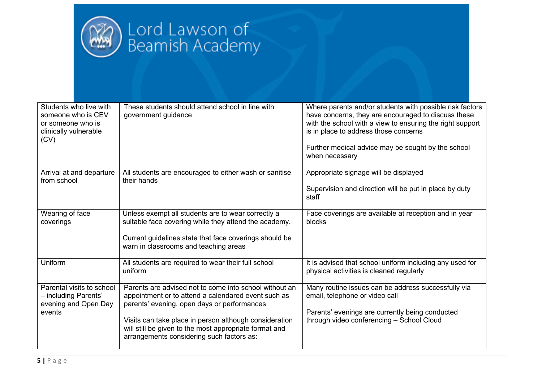

| Students who live with<br>someone who is CEV<br>or someone who is<br>clinically vulnerable<br>(CV) | These students should attend school in line with<br>government guidance                                                                                                                                                                                                                                                       | Where parents and/or students with possible risk factors<br>have concerns, they are encouraged to discuss these<br>with the school with a view to ensuring the right support<br>is in place to address those concerns<br>Further medical advice may be sought by the school<br>when necessary |
|----------------------------------------------------------------------------------------------------|-------------------------------------------------------------------------------------------------------------------------------------------------------------------------------------------------------------------------------------------------------------------------------------------------------------------------------|-----------------------------------------------------------------------------------------------------------------------------------------------------------------------------------------------------------------------------------------------------------------------------------------------|
| Arrival at and departure<br>from school                                                            | All students are encouraged to either wash or sanitise<br>their hands                                                                                                                                                                                                                                                         | Appropriate signage will be displayed<br>Supervision and direction will be put in place by duty<br>staff                                                                                                                                                                                      |
| Wearing of face<br>coverings                                                                       | Unless exempt all students are to wear correctly a<br>suitable face covering while they attend the academy.<br>Current guidelines state that face coverings should be<br>warn in classrooms and teaching areas                                                                                                                | Face coverings are available at reception and in year<br>blocks                                                                                                                                                                                                                               |
| Uniform                                                                                            | All students are required to wear their full school<br>uniform                                                                                                                                                                                                                                                                | It is advised that school uniform including any used for<br>physical activities is cleaned regularly                                                                                                                                                                                          |
| Parental visits to school<br>- including Parents'<br>evening and Open Day<br>events                | Parents are advised not to come into school without an<br>appointment or to attend a calendared event such as<br>parents' evening, open days or performances<br>Visits can take place in person although consideration<br>will still be given to the most appropriate format and<br>arrangements considering such factors as: | Many routine issues can be address successfully via<br>email, telephone or video call<br>Parents' evenings are currently being conducted<br>through video conferencing - School Cloud                                                                                                         |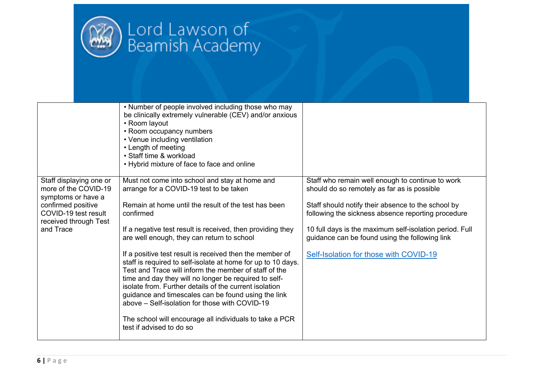

|                                                                       | • Number of people involved including those who may<br>be clinically extremely vulnerable (CEV) and/or anxious<br>• Room layout<br>• Room occupancy numbers<br>• Venue including ventilation<br>• Length of meeting<br>• Staff time & workload<br>• Hybrid mixture of face to face and online                                                                                                                 |                                                                                                           |
|-----------------------------------------------------------------------|---------------------------------------------------------------------------------------------------------------------------------------------------------------------------------------------------------------------------------------------------------------------------------------------------------------------------------------------------------------------------------------------------------------|-----------------------------------------------------------------------------------------------------------|
| Staff displaying one or<br>more of the COVID-19<br>symptoms or have a | Must not come into school and stay at home and<br>arrange for a COVID-19 test to be taken                                                                                                                                                                                                                                                                                                                     | Staff who remain well enough to continue to work<br>should do so remotely as far as is possible           |
| confirmed positive<br>COVID-19 test result<br>received through Test   | Remain at home until the result of the test has been<br>confirmed                                                                                                                                                                                                                                                                                                                                             | Staff should notify their absence to the school by<br>following the sickness absence reporting procedure  |
| and Trace                                                             | If a negative test result is received, then providing they<br>are well enough, they can return to school                                                                                                                                                                                                                                                                                                      | 10 full days is the maximum self-isolation period. Full<br>guidance can be found using the following link |
|                                                                       | If a positive test result is received then the member of<br>staff is required to self-isolate at home for up to 10 days.<br>Test and Trace will inform the member of staff of the<br>time and day they will no longer be required to self-<br>isolate from. Further details of the current isolation<br>guidance and timescales can be found using the link<br>above – Self-isolation for those with COVID-19 | Self-Isolation for those with COVID-19                                                                    |
|                                                                       | The school will encourage all individuals to take a PCR<br>test if advised to do so                                                                                                                                                                                                                                                                                                                           |                                                                                                           |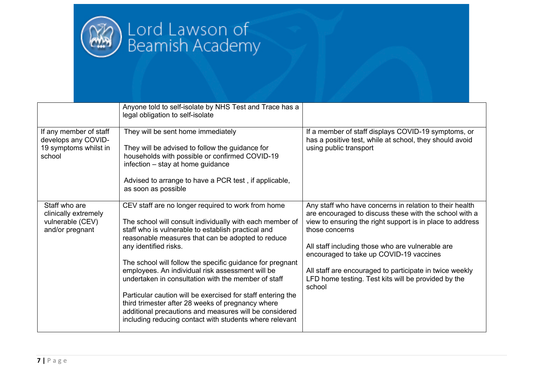

|                                                                                  | Anyone told to self-isolate by NHS Test and Trace has a<br>legal obligation to self-isolate                                                                                                                                                                                                                                                                                                                                                                                                                                                                                                                                                                         |                                                                                                                                                                                                                                                                                                                                                                                                                             |
|----------------------------------------------------------------------------------|---------------------------------------------------------------------------------------------------------------------------------------------------------------------------------------------------------------------------------------------------------------------------------------------------------------------------------------------------------------------------------------------------------------------------------------------------------------------------------------------------------------------------------------------------------------------------------------------------------------------------------------------------------------------|-----------------------------------------------------------------------------------------------------------------------------------------------------------------------------------------------------------------------------------------------------------------------------------------------------------------------------------------------------------------------------------------------------------------------------|
| If any member of staff<br>develops any COVID-<br>19 symptoms whilst in<br>school | They will be sent home immediately<br>They will be advised to follow the guidance for<br>households with possible or confirmed COVID-19<br>infection $-$ stay at home guidance<br>Advised to arrange to have a PCR test, if applicable,<br>as soon as possible                                                                                                                                                                                                                                                                                                                                                                                                      | If a member of staff displays COVID-19 symptoms, or<br>has a positive test, while at school, they should avoid<br>using public transport                                                                                                                                                                                                                                                                                    |
| Staff who are<br>clinically extremely<br>vulnerable (CEV)<br>and/or pregnant     | CEV staff are no longer required to work from home<br>The school will consult individually with each member of<br>staff who is vulnerable to establish practical and<br>reasonable measures that can be adopted to reduce<br>any identified risks.<br>The school will follow the specific guidance for pregnant<br>employees. An individual risk assessment will be<br>undertaken in consultation with the member of staff<br>Particular caution will be exercised for staff entering the<br>third trimester after 28 weeks of pregnancy where<br>additional precautions and measures will be considered<br>including reducing contact with students where relevant | Any staff who have concerns in relation to their health<br>are encouraged to discuss these with the school with a<br>view to ensuring the right support is in place to address<br>those concerns<br>All staff including those who are vulnerable are<br>encouraged to take up COVID-19 vaccines<br>All staff are encouraged to participate in twice weekly<br>LFD home testing. Test kits will be provided by the<br>school |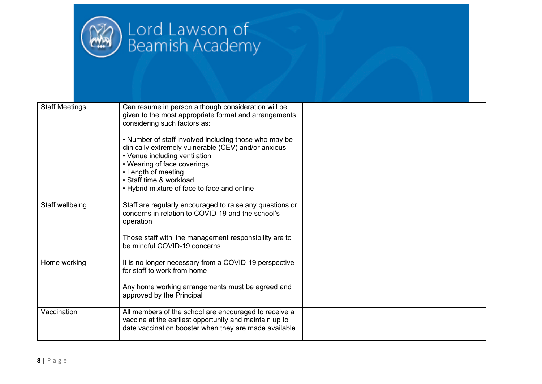

| <b>Staff Meetings</b> | Can resume in person although consideration will be<br>given to the most appropriate format and arrangements<br>considering such factors as:<br>• Number of staff involved including those who may be<br>clinically extremely vulnerable (CEV) and/or anxious<br>• Venue including ventilation<br>• Wearing of face coverings<br>• Length of meeting<br>• Staff time & workload<br>• Hybrid mixture of face to face and online |  |
|-----------------------|--------------------------------------------------------------------------------------------------------------------------------------------------------------------------------------------------------------------------------------------------------------------------------------------------------------------------------------------------------------------------------------------------------------------------------|--|
| Staff wellbeing       | Staff are regularly encouraged to raise any questions or<br>concerns in relation to COVID-19 and the school's<br>operation<br>Those staff with line management responsibility are to<br>be mindful COVID-19 concerns                                                                                                                                                                                                           |  |
| Home working          | It is no longer necessary from a COVID-19 perspective<br>for staff to work from home<br>Any home working arrangements must be agreed and<br>approved by the Principal                                                                                                                                                                                                                                                          |  |
| Vaccination           | All members of the school are encouraged to receive a<br>vaccine at the earliest opportunity and maintain up to<br>date vaccination booster when they are made available                                                                                                                                                                                                                                                       |  |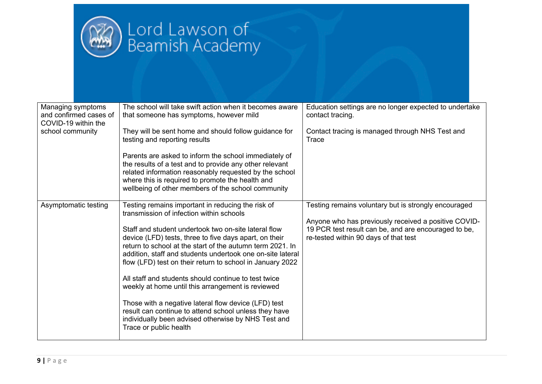

| Managing symptoms<br>and confirmed cases of<br>COVID-19 within the<br>school community | The school will take swift action when it becomes aware<br>that someone has symptoms, however mild<br>They will be sent home and should follow guidance for                                                                                                                                            | Education settings are no longer expected to undertake<br>contact tracing.<br>Contact tracing is managed through NHS Test and                         |
|----------------------------------------------------------------------------------------|--------------------------------------------------------------------------------------------------------------------------------------------------------------------------------------------------------------------------------------------------------------------------------------------------------|-------------------------------------------------------------------------------------------------------------------------------------------------------|
|                                                                                        | testing and reporting results                                                                                                                                                                                                                                                                          | Trace                                                                                                                                                 |
|                                                                                        | Parents are asked to inform the school immediately of<br>the results of a test and to provide any other relevant<br>related information reasonably requested by the school<br>where this is required to promote the health and<br>wellbeing of other members of the school community                   |                                                                                                                                                       |
| Asymptomatic testing                                                                   | Testing remains important in reducing the risk of<br>transmission of infection within schools                                                                                                                                                                                                          | Testing remains voluntary but is strongly encouraged                                                                                                  |
|                                                                                        | Staff and student undertook two on-site lateral flow<br>device (LFD) tests, three to five days apart, on their<br>return to school at the start of the autumn term 2021. In<br>addition, staff and students undertook one on-site lateral<br>flow (LFD) test on their return to school in January 2022 | Anyone who has previously received a positive COVID-<br>19 PCR test result can be, and are encouraged to be,<br>re-tested within 90 days of that test |
|                                                                                        | All staff and students should continue to test twice<br>weekly at home until this arrangement is reviewed                                                                                                                                                                                              |                                                                                                                                                       |
|                                                                                        | Those with a negative lateral flow device (LFD) test<br>result can continue to attend school unless they have<br>individually been advised otherwise by NHS Test and<br>Trace or public health                                                                                                         |                                                                                                                                                       |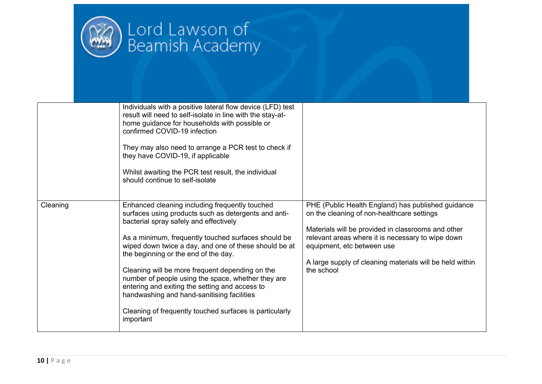

|          | Individuals with a positive lateral flow device (LFD) test<br>result will need to self-isolate in line with the stay-at-<br>home guidance for households with possible or<br>confirmed COVID-19 infection<br>They may also need to arrange a PCR test to check if<br>they have COVID-19, if applicable<br>Whilst awaiting the PCR test result, the individual<br>should continue to self-isolate                                                                                                                                                                                          |                                                                                                                                                                                                                                                                                                                     |
|----------|-------------------------------------------------------------------------------------------------------------------------------------------------------------------------------------------------------------------------------------------------------------------------------------------------------------------------------------------------------------------------------------------------------------------------------------------------------------------------------------------------------------------------------------------------------------------------------------------|---------------------------------------------------------------------------------------------------------------------------------------------------------------------------------------------------------------------------------------------------------------------------------------------------------------------|
| Cleaning | Enhanced cleaning including frequently touched<br>surfaces using products such as detergents and anti-<br>bacterial spray safely and effectively<br>As a minimum, frequently touched surfaces should be<br>wiped down twice a day, and one of these should be at<br>the beginning or the end of the day.<br>Cleaning will be more frequent depending on the<br>number of people using the space, whether they are<br>entering and exiting the setting and access to<br>handwashing and hand-sanitising facilities<br>Cleaning of frequently touched surfaces is particularly<br>important | PHE (Public Health England) has published guidance<br>on the cleaning of non-healthcare settings<br>Materials will be provided in classrooms and other<br>relevant areas where it is necessary to wipe down<br>equipment, etc between use<br>A large supply of cleaning materials will be held within<br>the school |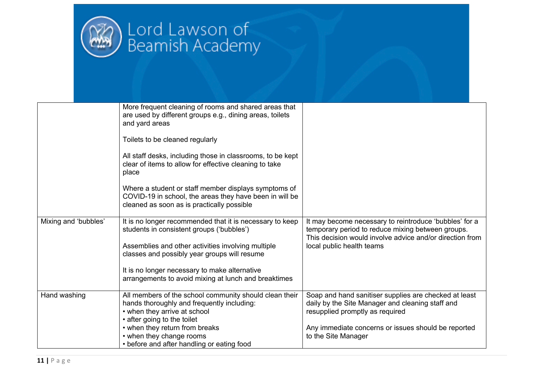

|                      | More frequent cleaning of rooms and shared areas that<br>are used by different groups e.g., dining areas, toilets<br>and yard areas<br>Toilets to be cleaned regularly<br>All staff desks, including those in classrooms, to be kept<br>clear of items to allow for effective cleaning to take<br>place<br>Where a student or staff member displays symptoms of<br>COVID-19 in school, the areas they have been in will be<br>cleaned as soon as is practically possible |                                                                                                                                                                                                                            |
|----------------------|--------------------------------------------------------------------------------------------------------------------------------------------------------------------------------------------------------------------------------------------------------------------------------------------------------------------------------------------------------------------------------------------------------------------------------------------------------------------------|----------------------------------------------------------------------------------------------------------------------------------------------------------------------------------------------------------------------------|
| Mixing and 'bubbles' | It is no longer recommended that it is necessary to keep<br>students in consistent groups ('bubbles')<br>Assemblies and other activities involving multiple<br>classes and possibly year groups will resume<br>It is no longer necessary to make alternative<br>arrangements to avoid mixing at lunch and breaktimes                                                                                                                                                     | It may become necessary to reintroduce 'bubbles' for a<br>temporary period to reduce mixing between groups.<br>This decision would involve advice and/or direction from<br>local public health teams                       |
| Hand washing         | All members of the school community should clean their<br>hands thoroughly and frequently including:<br>• when they arrive at school<br>• after going to the toilet<br>• when they return from breaks<br>• when they change rooms<br>• before and after handling or eating food                                                                                                                                                                                          | Soap and hand sanitiser supplies are checked at least<br>daily by the Site Manager and cleaning staff and<br>resupplied promptly as required<br>Any immediate concerns or issues should be reported<br>to the Site Manager |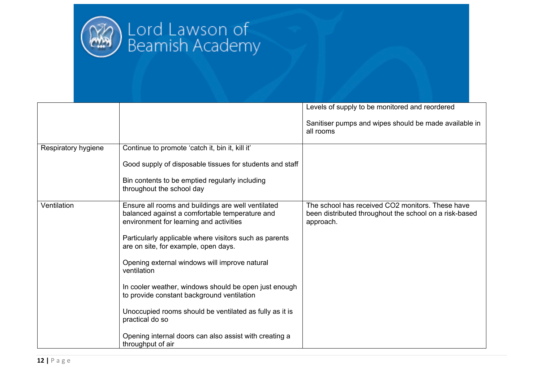

|                     |                                                                                                                                                 | Levels of supply to be monitored and reordered                                                                          |
|---------------------|-------------------------------------------------------------------------------------------------------------------------------------------------|-------------------------------------------------------------------------------------------------------------------------|
|                     |                                                                                                                                                 | Sanitiser pumps and wipes should be made available in<br>all rooms                                                      |
| Respiratory hygiene | Continue to promote 'catch it, bin it, kill it'                                                                                                 |                                                                                                                         |
|                     | Good supply of disposable tissues for students and staff                                                                                        |                                                                                                                         |
|                     | Bin contents to be emptied regularly including<br>throughout the school day                                                                     |                                                                                                                         |
| Ventilation         | Ensure all rooms and buildings are well ventilated<br>balanced against a comfortable temperature and<br>environment for learning and activities | The school has received CO2 monitors. These have<br>been distributed throughout the school on a risk-based<br>approach. |
|                     | Particularly applicable where visitors such as parents<br>are on site, for example, open days.                                                  |                                                                                                                         |
|                     | Opening external windows will improve natural<br>ventilation                                                                                    |                                                                                                                         |
|                     | In cooler weather, windows should be open just enough<br>to provide constant background ventilation                                             |                                                                                                                         |
|                     | Unoccupied rooms should be ventilated as fully as it is<br>practical do so                                                                      |                                                                                                                         |
|                     | Opening internal doors can also assist with creating a<br>throughput of air                                                                     |                                                                                                                         |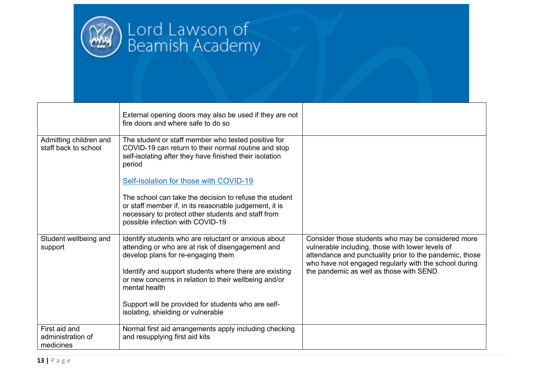

|                                                 | External opening doors may also be used if they are not<br>fire doors and where safe to do so                                                                                                              |                                                                                                                                                                                                                            |
|-------------------------------------------------|------------------------------------------------------------------------------------------------------------------------------------------------------------------------------------------------------------|----------------------------------------------------------------------------------------------------------------------------------------------------------------------------------------------------------------------------|
| Admitting children and<br>staff back to school  | The student or staff member who tested positive for<br>COVID-19 can return to their normal routine and stop<br>self-isolating after they have finished their isolation<br>period                           |                                                                                                                                                                                                                            |
|                                                 | Self-Isolation for those with COVID-19                                                                                                                                                                     |                                                                                                                                                                                                                            |
|                                                 | The school can take the decision to refuse the student<br>or staff member if, in its reasonable judgement, it is<br>necessary to protect other students and staff from<br>possible infection with COVID-19 |                                                                                                                                                                                                                            |
| Student wellbeing and<br>support                | Identify students who are reluctant or anxious about<br>attending or who are at risk of disengagement and<br>develop plans for re-engaging them                                                            | Consider those students who may be considered more<br>vulnerable including, those with lower levels of<br>attendance and punctuality prior to the pandemic, those<br>who have not engaged regularly with the school during |
|                                                 | Identify and support students where there are existing<br>or new concerns in relation to their wellbeing and/or<br>mental health                                                                           | the pandemic as well as those with SEND                                                                                                                                                                                    |
|                                                 | Support will be provided for students who are self-<br>isolating, shielding or vulnerable                                                                                                                  |                                                                                                                                                                                                                            |
| First aid and<br>administration of<br>medicines | Normal first aid arrangements apply including checking<br>and resupplying first aid kits                                                                                                                   |                                                                                                                                                                                                                            |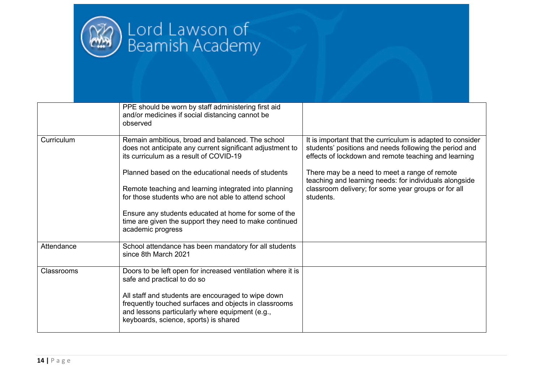

|            | PPE should be worn by staff administering first aid<br>and/or medicines if social distancing cannot be<br>observed                                                                                      |                                                                                                                                                                              |
|------------|---------------------------------------------------------------------------------------------------------------------------------------------------------------------------------------------------------|------------------------------------------------------------------------------------------------------------------------------------------------------------------------------|
| Curriculum | Remain ambitious, broad and balanced. The school<br>does not anticipate any current significant adjustment to<br>its curriculum as a result of COVID-19                                                 | It is important that the curriculum is adapted to consider<br>students' positions and needs following the period and<br>effects of lockdown and remote teaching and learning |
|            | Planned based on the educational needs of students                                                                                                                                                      | There may be a need to meet a range of remote<br>teaching and learning needs: for individuals alongside                                                                      |
|            | Remote teaching and learning integrated into planning<br>for those students who are not able to attend school                                                                                           | classroom delivery; for some year groups or for all<br>students.                                                                                                             |
|            | Ensure any students educated at home for some of the<br>time are given the support they need to make continued<br>academic progress                                                                     |                                                                                                                                                                              |
| Attendance | School attendance has been mandatory for all students<br>since 8th March 2021                                                                                                                           |                                                                                                                                                                              |
| Classrooms | Doors to be left open for increased ventilation where it is<br>safe and practical to do so                                                                                                              |                                                                                                                                                                              |
|            | All staff and students are encouraged to wipe down<br>frequently touched surfaces and objects in classrooms<br>and lessons particularly where equipment (e.g.,<br>keyboards, science, sports) is shared |                                                                                                                                                                              |